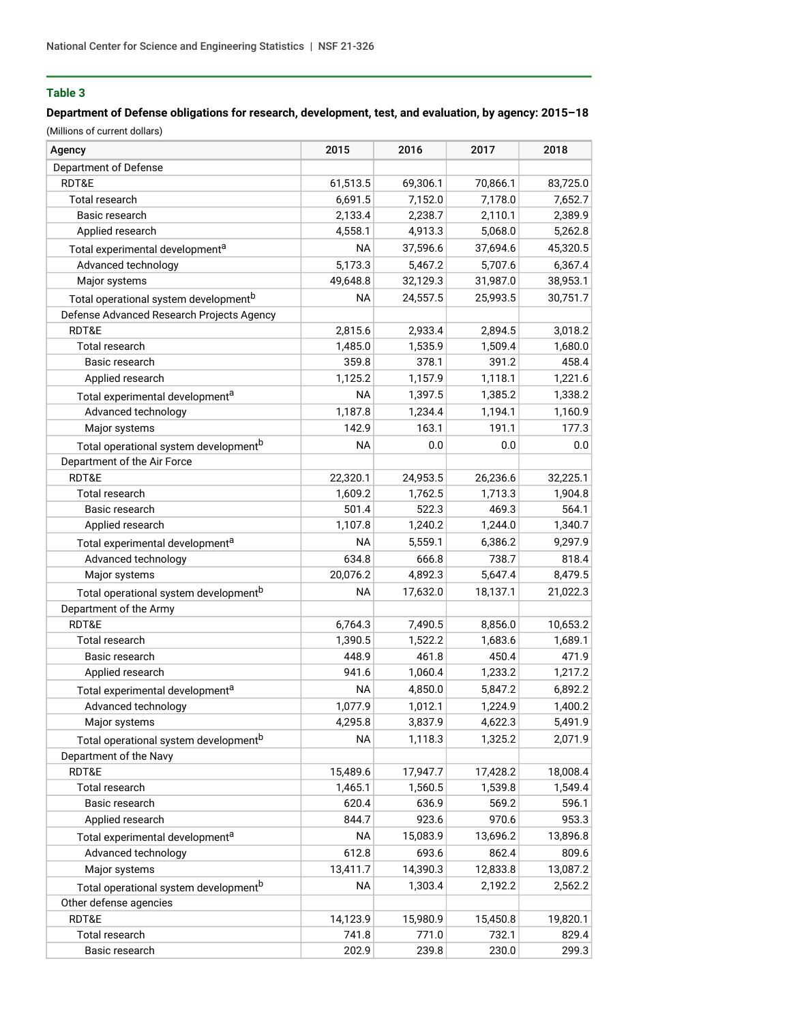# **Table 3**

## **Department of Defense obligations for research, development, test, and evaluation, by agency: 2015–18**

(Millions of current dollars)

| Agency                                            | 2015      | 2016     | 2017     | 2018     |
|---------------------------------------------------|-----------|----------|----------|----------|
| Department of Defense                             |           |          |          |          |
| RDT&E                                             | 61,513.5  | 69,306.1 | 70,866.1 | 83,725.0 |
| Total research                                    | 6,691.5   | 7,152.0  | 7,178.0  | 7,652.7  |
| Basic research                                    | 2,133.4   | 2,238.7  | 2,110.1  | 2,389.9  |
| Applied research                                  | 4,558.1   | 4,913.3  | 5,068.0  | 5,262.8  |
| Total experimental development <sup>a</sup>       | <b>NA</b> | 37,596.6 | 37,694.6 | 45,320.5 |
| Advanced technology                               | 5,173.3   | 5,467.2  | 5,707.6  | 6,367.4  |
| Major systems                                     | 49,648.8  | 32,129.3 | 31,987.0 | 38,953.1 |
| Total operational system development <sup>b</sup> | <b>NA</b> | 24,557.5 | 25,993.5 | 30,751.7 |
| Defense Advanced Research Projects Agency         |           |          |          |          |
| RDT&E                                             | 2,815.6   | 2,933.4  | 2,894.5  | 3,018.2  |
| Total research                                    | 1,485.0   | 1,535.9  | 1,509.4  | 1,680.0  |
| Basic research                                    | 359.8     | 378.1    | 391.2    | 458.4    |
| Applied research                                  | 1,125.2   | 1,157.9  | 1,118.1  | 1,221.6  |
| Total experimental development <sup>a</sup>       | <b>NA</b> | 1,397.5  | 1,385.2  | 1,338.2  |
| Advanced technology                               | 1,187.8   | 1,234.4  | 1,194.1  | 1,160.9  |
| Major systems                                     | 142.9     | 163.1    | 191.1    | 177.3    |
| Total operational system development <sup>b</sup> | <b>NA</b> | 0.0      | 0.0      | 0.0      |
| Department of the Air Force                       |           |          |          |          |
| RDT&E                                             | 22,320.1  | 24,953.5 | 26,236.6 | 32,225.1 |
| Total research                                    | 1,609.2   | 1,762.5  | 1,713.3  | 1,904.8  |
| Basic research                                    | 501.4     | 522.3    | 469.3    | 564.1    |
| Applied research                                  | 1,107.8   | 1,240.2  | 1,244.0  | 1,340.7  |
| Total experimental development <sup>a</sup>       | <b>NA</b> | 5,559.1  | 6,386.2  | 9,297.9  |
| Advanced technology                               | 634.8     | 666.8    | 738.7    | 818.4    |
| Major systems                                     | 20,076.2  | 4,892.3  | 5,647.4  | 8,479.5  |
| Total operational system development <sup>b</sup> | <b>NA</b> | 17,632.0 | 18,137.1 | 21,022.3 |
| Department of the Army                            |           |          |          |          |
| RDT&E                                             | 6,764.3   | 7,490.5  | 8,856.0  | 10,653.2 |
| Total research                                    | 1,390.5   | 1,522.2  | 1,683.6  | 1,689.1  |
| Basic research                                    | 448.9     | 461.8    | 450.4    | 471.9    |
| Applied research                                  | 941.6     | 1,060.4  | 1,233.2  | 1,217.2  |
| Total experimental development <sup>a</sup>       | <b>NA</b> | 4,850.0  | 5,847.2  | 6,892.2  |
| Advanced technology                               | 1,077.9   | 1,012.1  | 1,224.9  | 1,400.2  |
| Major systems                                     | 4,295.8   | 3,837.9  | 4,622.3  | 5,491.9  |
| Total operational system development <sup>b</sup> | <b>NA</b> | 1,118.3  | 1,325.2  | 2,071.9  |
| Department of the Navy                            |           |          |          |          |
| RDT&E                                             | 15,489.6  | 17,947.7 | 17,428.2 | 18,008.4 |
| Total research                                    | 1,465.1   | 1,560.5  | 1,539.8  | 1,549.4  |
| Basic research                                    | 620.4     | 636.9    | 569.2    | 596.1    |
| Applied research                                  | 844.7     | 923.6    | 970.6    | 953.3    |
| Total experimental development <sup>a</sup>       | <b>NA</b> | 15,083.9 | 13,696.2 | 13,896.8 |
| Advanced technology                               | 612.8     | 693.6    | 862.4    | 809.6    |
| Major systems                                     | 13,411.7  | 14,390.3 | 12,833.8 | 13,087.2 |
| Total operational system development <sup>b</sup> | <b>NA</b> | 1,303.4  | 2,192.2  | 2,562.2  |
| Other defense agencies                            |           |          |          |          |
| RDT&E                                             | 14,123.9  | 15,980.9 | 15,450.8 | 19,820.1 |
| Total research                                    | 741.8     | 771.0    | 732.1    | 829.4    |
| Basic research                                    | 202.9     | 239.8    | 230.0    | 299.3    |